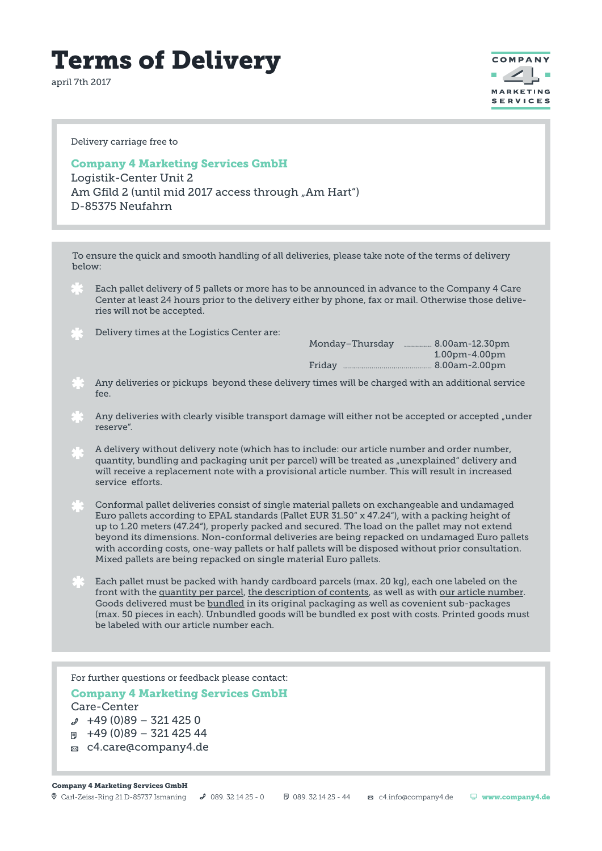## Terms of Delivery

april 7th 2017



Delivery carriage free to

#### Company 4 Marketing Services GmbH

Logistik-Center Unit 2 Am Gfild 2 (until mid 2017 access through "Am Hart") D-85375 Neufahrn

To ensure the quick and smooth handling of all deliveries, please take note of the terms of delivery below:

- Each pallet delivery of 5 pallets or more has to be announced in advance to the Company 4 Care Center at least 24 hours prior to the delivery either by phone, fax or mail. Otherwise those deliveries will not be accepted.
- Delivery times at the Logistics Center are:

| Monday-Thursday |  | 8.00am-12.30pm  |
|-----------------|--|-----------------|
|                 |  | $1.00pm-4.00pm$ |
| Friday          |  |                 |

- Any deliveries or pickups beyond these delivery times will be charged with an additional service fee.
- Any deliveries with clearly visible transport damage will either not be accepted or accepted "under reserve".
- A delivery without delivery note (which has to include: our article number and order number, quantity, bundling and packaging unit per parcel) will be treated as "unexplained" delivery and will receive a replacement note with a provisional article number. This will result in increased service efforts.
- Conformal pallet deliveries consist of single material pallets on exchangeable and undamaged Euro pallets according to EPAL standards (Pallet EUR 31.50" x 47.24"), with a packing height of up to 1.20 meters (47.24"), properly packed and secured. The load on the pallet may not extend beyond its dimensions. Non-conformal deliveries are being repacked on undamaged Euro pallets with according costs, one-way pallets or half pallets will be disposed without prior consultation. Mixed pallets are being repacked on single material Euro pallets.
- Each pallet must be packed with handy cardboard parcels (max. 20 kg), each one labeled on the front with the quantity per parcel, the description of contents, as well as with our article number. Goods delivered must be bundled in its original packaging as well as covenient sub-packages (max. 50 pieces in each). Unbundled goods will be bundled ex post with costs. Printed goods must be labeled with our article number each.

For further questions or feedback please contact:

Company 4 Marketing Services GmbH Care-Center  $449 (0)89 - 321 425 0$  $\Box$  +49 (0)89 - 321 425 44 c4.care@company4.de